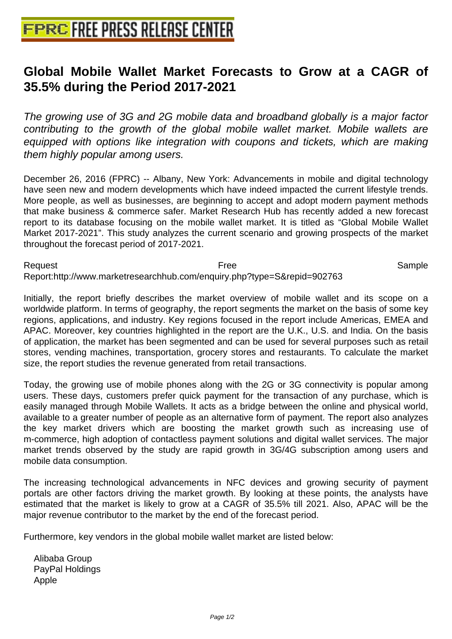## **[Global Mobile Wallet Market Fore](http://www.free-press-release-center.info)casts to Grow at a CAGR of 35.5% during the Period 2017-2021**

The growing use of 3G and 2G mobile data and broadband globally is a major factor contributing to the growth of the global mobile wallet market. Mobile wallets are equipped with options like integration with coupons and tickets, which are making them highly popular among users.

December 26, 2016 (FPRC) -- Albany, New York: Advancements in mobile and digital technology have seen new and modern developments which have indeed impacted the current lifestyle trends. More people, as well as businesses, are beginning to accept and adopt modern payment methods that make business & commerce safer. Market Research Hub has recently added a new forecast report to its database focusing on the mobile wallet market. It is titled as "Global Mobile Wallet Market 2017-2021". This study analyzes the current scenario and growing prospects of the market throughout the forecast period of 2017-2021.

Request **Exercise Exercise Exercise Free** Free Sample Report:http://www.marketresearchhub.com/enquiry.php?type=S&repid=902763

Initially, the report briefly describes the market overview of mobile wallet and its scope on a worldwide platform. In terms of geography, the report segments the market on the basis of some key regions, applications, and industry. Key regions focused in the report include Americas, EMEA and APAC. Moreover, key countries highlighted in the report are the U.K., U.S. and India. On the basis of application, the market has been segmented and can be used for several purposes such as retail stores, vending machines, transportation, grocery stores and restaurants. To calculate the market size, the report studies the revenue generated from retail transactions.

Today, the growing use of mobile phones along with the 2G or 3G connectivity is popular among users. These days, customers prefer quick payment for the transaction of any purchase, which is easily managed through Mobile Wallets. It acts as a bridge between the online and physical world, available to a greater number of people as an alternative form of payment. The report also analyzes the key market drivers which are boosting the market growth such as increasing use of m-commerce, high adoption of contactless payment solutions and digital wallet services. The major market trends observed by the study are rapid growth in 3G/4G subscription among users and mobile data consumption.

The increasing technological advancements in NFC devices and growing security of payment portals are other factors driving the market growth. By looking at these points, the analysts have estimated that the market is likely to grow at a CAGR of 35.5% till 2021. Also, APAC will be the major revenue contributor to the market by the end of the forecast period.

Furthermore, key vendors in the global mobile wallet market are listed below:

 Alibaba Group PayPal Holdings Apple